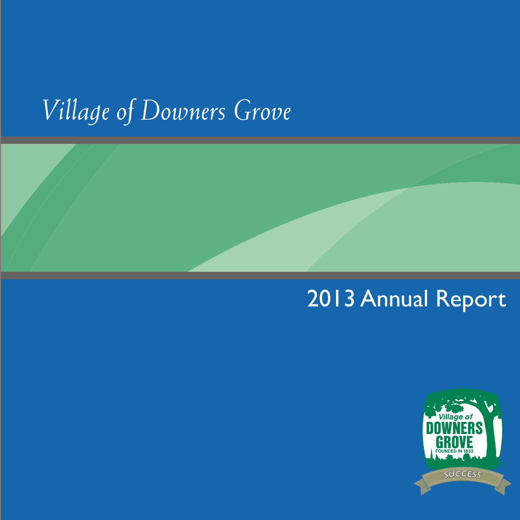# *Village of Downers Grove*



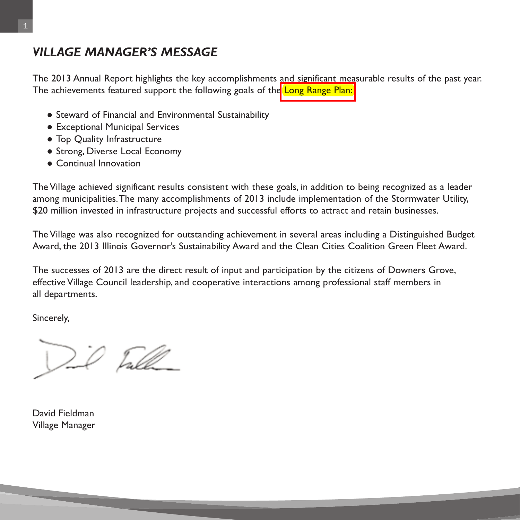# *VILLAGE MANAGER'S MESSAGE*

The 2013 Annual Report highlights the key accomplishments and significant measurable results of the past year. The achievements featured support the following goals of the Long Range Plan:

- Steward of Financial and Environmental Sustainability
- Exceptional Municipal Services
- Top Quality Infrastructure
- Strong, Diverse Local Economy
- Continual Innovation

The Village achieved significant results consistent with these goals, in addition to being recognized as a leader among municipalities. The many accomplishments of 2013 include implementation of the Stormwater Utility, \$20 million invested in infrastructure projects and successful efforts to attract and retain businesses.

The Village was also recognized for outstanding achievement in several areas including a Distinguished Budget Award, the 2013 Illinois Governor's Sustainability Award and the Clean Cities Coalition Green Fleet Award.

The successes of 2013 are the direct result of input and participation by the citizens of Downers Grove, effective Village Council leadership, and cooperative interactions among professional staff members in all departments.

Sincerely,

David Fieldman Village Manager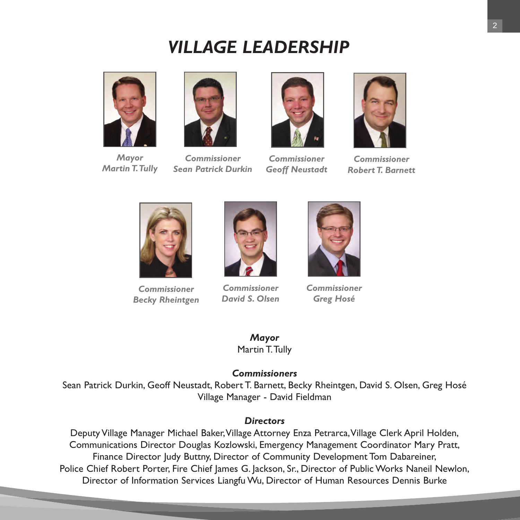# *VILLAGE LEADERSHIP*







*Commissioner Sean Patrick Durkin*



*Commissioner Geoff Neustadt*



*Commissioner Robert T. Barnett*



*Commissioner Becky Rheintgen*



*Commissioner David S. Olsen*



*Commissioner Greg Hosé*

*Mayor*  Martin T. Tully

#### *Commissioners*

Sean Patrick Durkin, Geoff Neustadt, Robert T. Barnett, Becky Rheintgen, David S. Olsen, Greg Hosé Village Manager - David Fieldman

#### *Directors*

Deputy Village Manager Michael Baker, Village Attorney Enza Petrarca, Village Clerk April Holden, Communications Director Douglas Kozlowski, Emergency Management Coordinator Mary Pratt, Finance Director Judy Buttny, Director of Community Development Tom Dabareiner, Police Chief Robert Porter, Fire Chief James G. Jackson, Sr., Director of Public Works Naneil Newlon, Director of Information Services Liangfu Wu, Director of Human Resources Dennis Burke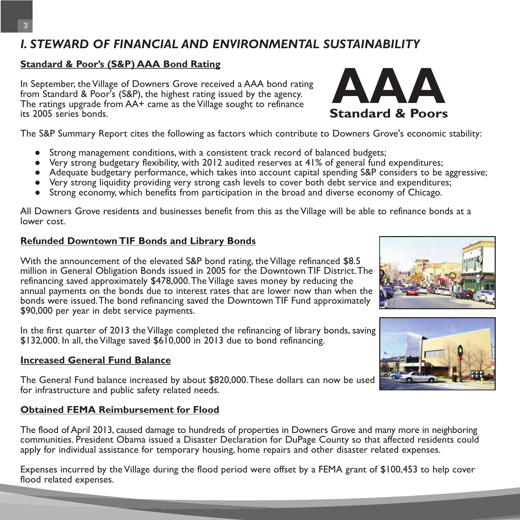# *I. STEWARD OF FINANCIAL AND ENVIRONMENTAL SUSTAINABILITY*

#### **Standard & Poor's (S&P) AAA Bond Rating**

In September, the Village of Downers Grove received a AAA bond rating from Standard & Poor's (S&P), the highest rating issued by the agency. The ratings upgrade from AA+ came as the Village sought to refinance its 2005 series bonds.

The S&P Summary Report cites the following as factors which contribute to Downers Grove's economic stability:

- Strong management conditions, with a consistent track record of balanced budgets;
- Very strong budgetary flexibility, with 2012 audited reserves at 41% of general fund expenditures;
- Adequate budgetary performance, which takes into account capital spending S&P considers to be aggressive;
- Very strong liquidity providing very strong cash levels to cover both debt service and expenditures;
- Strong economy, which benefits from participation in the broad and diverse economy of Chicago.

All Downers Grove residents and businesses benefit from this as the Village will be able to refinance bonds at a lower cost.

#### **Refunded Downtown TIF Bonds and Library Bonds**

With the announcement of the elevated S&P bond rating, the Village refinanced \$8.5 million in General Obligation Bonds issued in 2005 for the Downtown TIF District. The refinancing saved approximately \$478,000. The Village saves money by reducing the annual payments on the bonds due to interest rates that are lower now than when the bonds were issued. The bond refinancing saved the Downtown TIF Fund approximately \$90,000 per year in debt service payments.

In the first quarter of 2013 the Village completed the refinancing of library bonds, saving \$132,000. In all, the Village saved \$610,000 in 2013 due to bond refinancing.

#### **Increased General Fund Balance**

The General Fund balance increased by about \$820,000. These dollars can now be used for infrastructure and public safety related needs.

#### **Obtained FEMA Reimbursement for Flood**

The flood of April 2013, caused damage to hundreds of properties in Downers Grove and many more in neighboring communities. President Obama issued a Disaster Declaration for DuPage County so that affected residents could apply for individual assistance for temporary housing, home repairs and other disaster related expenses.

Expenses incurred by the Village during the flood period were offset by a FEMA grant of \$100,453 to help cover flood related expenses.





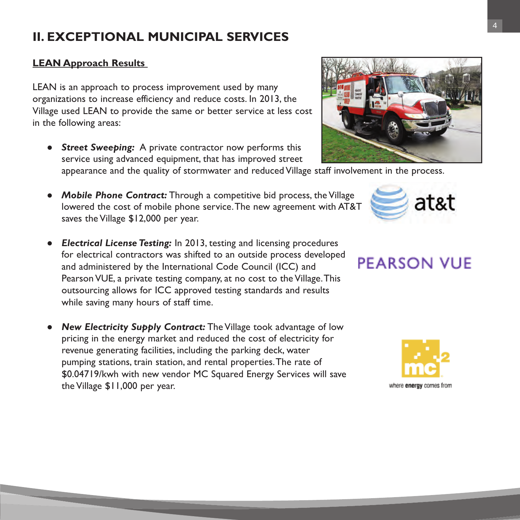# **II. EXCEPTIONAL MUNICIPAL SERVICES**

### **LEAN Approach Results**

LEAN is an approach to process improvement used by many organizations to increase efficiency and reduce costs. In 2013, the Village used LEAN to provide the same or better service at less cost in the following areas:

- *Street Sweeping:* A private contractor now performs this service using advanced equipment, that has improved street
	- appearance and the quality of stormwater and reduced Village staff involvement in the process.
- *Mobile Phone Contract:* Through a competitive bid process, the Village lowered the cost of mobile phone service. The new agreement with AT&T saves the Village \$12,000 per year.
- *Electrical License Testing:* In 2013, testing and licensing procedures for electrical contractors was shifted to an outside process developed and administered by the International Code Council (ICC) and Pearson VUE, a private testing company, at no cost to the Village. This outsourcing allows for ICC approved testing standards and results while saving many hours of staff time.
- **New Electricity Supply Contract:** The Village took advantage of low pricing in the energy market and reduced the cost of electricity for revenue generating facilities, including the parking deck, water pumping stations, train station, and rental properties. The rate of \$0.04719/kwh with new vendor MC Squared Energy Services will save the Village \$11,000 per year.





# **PEARSON VUE**

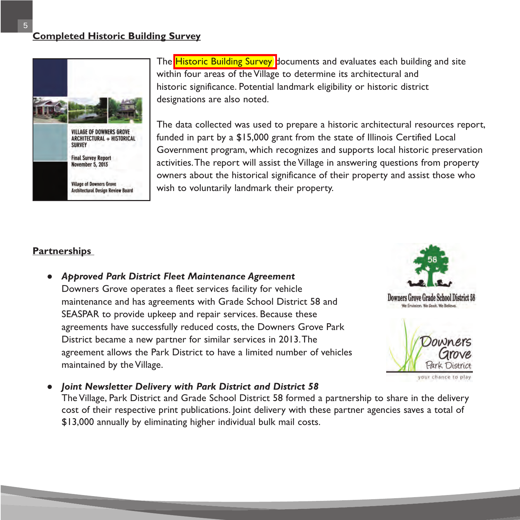

The **Historic Building Survey** documents and evaluates each building and site within four areas of the Village to determine its architectural and historic significance. Potential landmark eligibility or historic district designations are also noted.

The data collected was used to prepare a historic architectural resources report, funded in part by a \$15,000 grant from the state of Illinois Certified Local Government program, which recognizes and supports local historic preservation activities. The report will assist the Village in answering questions from property owners about the historical significance of their property and assist those who wish to voluntarily landmark their property.

### **Partnerships**

● *Approved Park District Fleet Maintenance Agreement* Downers Grove operates a fleet services facility for vehicle maintenance and has agreements with Grade School District 58 and SEASPAR to provide upkeep and repair services. Because these agreements have successfully reduced costs, the Downers Grove Park District became a new partner for similar services in 2013. The agreement allows the Park District to have a limited number of vehicles maintained by the Village.



your chance to play

*Joint Newsletter Delivery with Park District and District 58* The Village, Park District and Grade School District 58 formed a partnership to share in the delivery cost of their respective print publications. Joint delivery with these partner agencies saves a total of \$13,000 annually by eliminating higher individual bulk mail costs.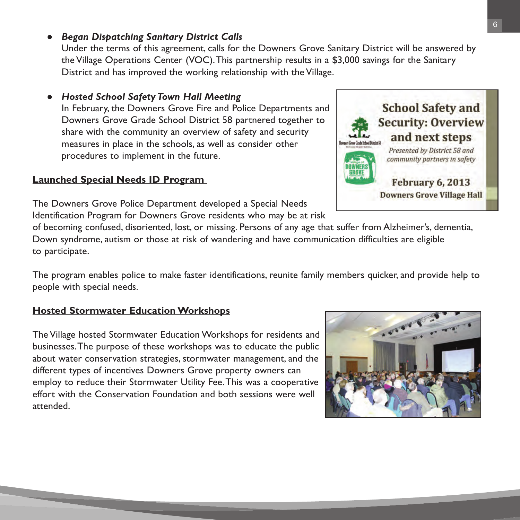# ● *Began Dispatching Sanitary District Calls*

Under the terms of this agreement, calls for the Downers Grove Sanitary District will be answered by the Village Operations Center (VOC). This partnership results in a \$3,000 savings for the Sanitary District and has improved the working relationship with the Village.

#### ● *Hosted School Safety Town Hall Meeting*

In February, the Downers Grove Fire and Police Departments and Downers Grove Grade School District 58 partnered together to share with the community an overview of safety and security measures in place in the schools, as well as consider other procedures to implement in the future.

#### **Launched Special Needs ID Program**

The Downers Grove Police Department developed a Special Needs Identification Program for Downers Grove residents who may be at risk

of becoming confused, disoriented, lost, or missing. Persons of any age that suffer from Alzheimer's, dementia, Down syndrome, autism or those at risk of wandering and have communication difficulties are eligible to participate.

The program enables police to make faster identifications, reunite family members quicker, and provide help to people with special needs.

#### **Hosted Stormwater Education Workshops**

The Village hosted Stormwater Education Workshops for residents and businesses. The purpose of these workshops was to educate the public about water conservation strategies, stormwater management, and the different types of incentives Downers Grove property owners can employ to reduce their Stormwater Utility Fee. This was a cooperative effort with the Conservation Foundation and both sessions were well attended.



# **School Safety and Security: Overview** and next steps Presented by District 58 and community partners in safety February 6, 2013 **Downers Grove Village Hall**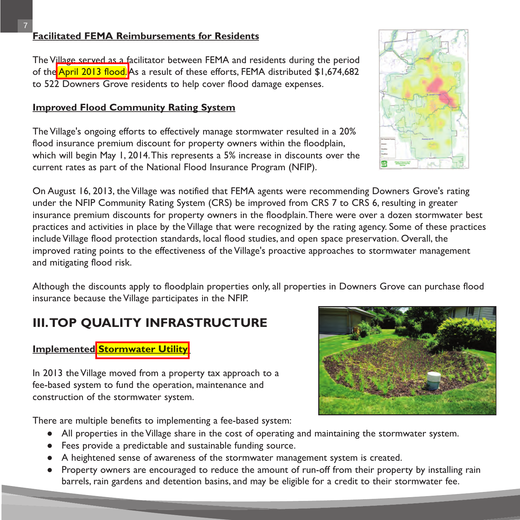# **Facilitated FEMA Reimbursements for Residents**

The Village served as a facilitator between FEMA and residents during the period of the [April 2013 flood.](http://www.downers.us/public/docs/top_stories/StormReport_2013.pdf) As a result of these efforts, FEMA distributed \$1,674,682 to 522 Downers Grove residents to help cover flood damage expenses.

#### **Improved Flood Community Rating System**

The Village's ongoing efforts to effectively manage stormwater resulted in a 20% flood insurance premium discount for property owners within the floodplain, which will begin May 1, 2014. This represents a 5% increase in discounts over the current rates as part of the National Flood Insurance Program (NFIP).

On August 16, 2013, the Village was notified that FEMA agents were recommending Downers Grove's rating under the NFIP Community Rating System (CRS) be improved from CRS 7 to CRS 6, resulting in greater insurance premium discounts for property owners in the floodplain. There were over a dozen stormwater best practices and activities in place by the Village that were recognized by the rating agency. Some of these practices include Village flood protection standards, local flood studies, and open space preservation. Overall, the improved rating points to the effectiveness of the Village's proactive approaches to stormwater management and mitigating flood risk.

Although the discounts apply to floodplain properties only, all properties in Downers Grove can purchase flood insurance because the Village participates in the NFIP.

# **III. TOP QUALITY INFRASTRUCTURE**

#### **Implemented [Stormwater Utility](http://www.downers.us/res/stormwater-management/stormwater-utility)**

In 2013 the Village moved from a property tax approach to a fee-based system to fund the operation, maintenance and construction of the stormwater system.

There are multiple benefits to implementing a fee-based system:

- All properties in the Village share in the cost of operating and maintaining the stormwater system.
- Fees provide a predictable and sustainable funding source.
- A heightened sense of awareness of the stormwater management system is created.
- Property owners are encouraged to reduce the amount of run-off from their property by installing rain barrels, rain gardens and detention basins, and may be eligible for a credit to their stormwater fee.



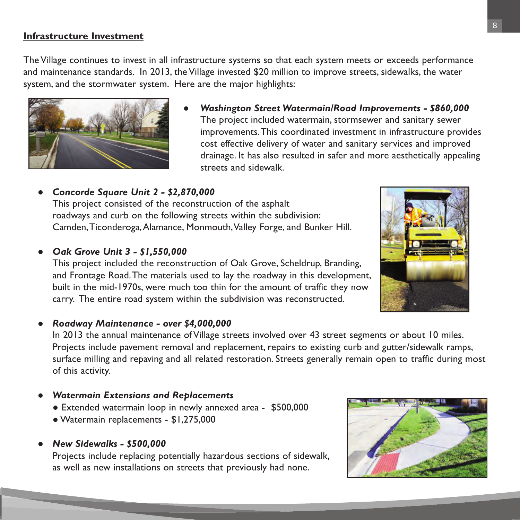#### **Infrastructure Investment**

The Village continues to invest in all infrastructure systems so that each system meets or exceeds performance and maintenance standards. In 2013, the Village invested \$20 million to improve streets, sidewalks, the water system, and the stormwater system. Here are the major highlights:



● *Washington Street Watermain/Road Improvements - \$860,000* The project included watermain, stormsewer and sanitary sewer improvements. This coordinated investment in infrastructure provides cost effective delivery of water and sanitary services and improved drainage. It has also resulted in safer and more aesthetically appealing streets and sidewalk.

#### ● *Concorde Square Unit 2 - \$2,870,000*

This project consisted of the reconstruction of the asphalt roadways and curb on the following streets within the subdivision: Camden, Ticonderoga, Alamance, Monmouth, Valley Forge, and Bunker Hill.

#### ● *Oak Grove Unit 3 - \$1,550,000*

This project included the reconstruction of Oak Grove, Scheldrup, Branding, and Frontage Road. The materials used to lay the roadway in this development, built in the mid-1970s, were much too thin for the amount of traffic they now carry. The entire road system within the subdivision was reconstructed.

#### ● *Roadway Maintenance - over \$4,000,000*

In 2013 the annual maintenance of Village streets involved over 43 street segments or about 10 miles. Projects include pavement removal and replacement, repairs to existing curb and gutter/sidewalk ramps, surface milling and repaving and all related restoration. Streets generally remain open to traffic during most of this activity.

#### ● *Watermain Extensions and Replacements*

- Extended watermain loop in newly annexed area \$500,000
- Watermain replacements \$1,275,000
- *New Sidewalks \$500,000*

Projects include replacing potentially hazardous sections of sidewalk, as well as new installations on streets that previously had none.



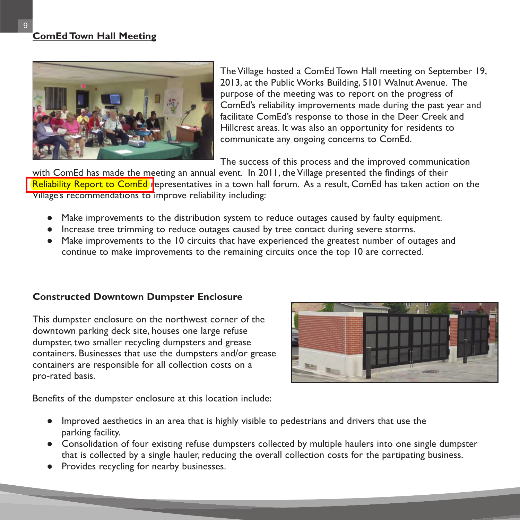### **ComEd Town Hall Meeting**



The Village hosted a ComEd Town Hall meeting on September 19, 2013, at the Public Works Building, 5101 Walnut Avenue. The purpose of the meeting was to report on the progress of ComEd's reliability improvements made during the past year and facilitate ComEd's response to those in the Deer Creek and Hillcrest areas. It was also an opportunity for residents to communicate any ongoing concerns to ComEd.

The success of this process and the improved communication

with ComEd has made the meeting an annual event. In 2011, the Village presented the findings of their [Reliability Report to ComEd r](http://www.downers.us/public/docs/publications/ComEdReport2013.pdf)epresentatives in a town hall forum. As a result, ComEd has taken action on the Village's recommendations to improve reliability including:

- Make improvements to the distribution system to reduce outages caused by faulty equipment.
- Increase tree trimming to reduce outages caused by tree contact during severe storms.
- Make improvements to the 10 circuits that have experienced the greatest number of outages and continue to make improvements to the remaining circuits once the top 10 are corrected.

#### **Constructed Downtown Dumpster Enclosure**

This dumpster enclosure on the northwest corner of the downtown parking deck site, houses one large refuse dumpster, two smaller recycling dumpsters and grease containers. Businesses that use the dumpsters and/or grease containers are responsible for all collection costs on a pro-rated basis.



Benefits of the dumpster enclosure at this location include:

- Improved aesthetics in an area that is highly visible to pedestrians and drivers that use the parking facility.
- Consolidation of four existing refuse dumpsters collected by multiple haulers into one single dumpster that is collected by a single hauler, reducing the overall collection costs for the partipating business.
- Provides recycling for nearby businesses.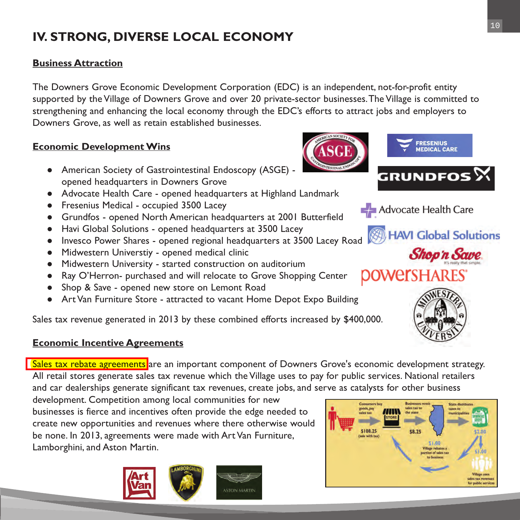# **IV. STRONG, DIVERSE LOCAL ECONOMY**

# **Business Attraction**

The Downers Grove Economic Development Corporation (EDC) is an independent, not-for-profit entity supported by the Village of Downers Grove and over 20 private-sector businesses. The Village is committed to strengthening and enhancing the local economy through the EDC's efforts to attract jobs and employers to Downers Grove, as well as retain established businesses.

# **Economic Development Wins**

- American Society of Gastrointestinal Endoscopy (ASGE) opened headquarters in Downers Grove
- Advocate Health Care opened headquarters at Highland Landmark
- Fresenius Medical occupied 3500 Lacey
- Grundfos opened North American headquarters at 2001 Butterfield
- Havi Global Solutions opened headquarters at 3500 Lacey
- Invesco Power Shares opened regional headquarters at 3500 Lacey Road
- Midwestern Universtiy opened medical clinic
- Midwestern University started construction on auditorium
- Ray O'Herron- purchased and will relocate to Grove Shopping Center
- Shop & Save opened new store on Lemont Road
- Art Van Furniture Store attracted to vacant Home Depot Expo Building

Sales tax revenue generated in 2013 by these combined efforts increased by \$400,000.

### **Economic Incentive Agreements**

[Sales tax rebate agreements](http://www.downers.us/public/docs/top_stories/economic%20incentives%20101.pdf) are an important component of Downers Grove's economic development strategy. All retail stores generate sales tax revenue which the Village uses to pay for public services. National retailers and car dealerships generate significant tax revenues, create jobs, and serve as catalysts for other business

development. Competition among local communities for new businesses is fierce and incentives often provide the edge needed to create new opportunities and revenues where there otherwise would be none. In 2013, agreements were made with Art Van Furniture, Lamborghini, and Aston Martin.













**Shop'n Save**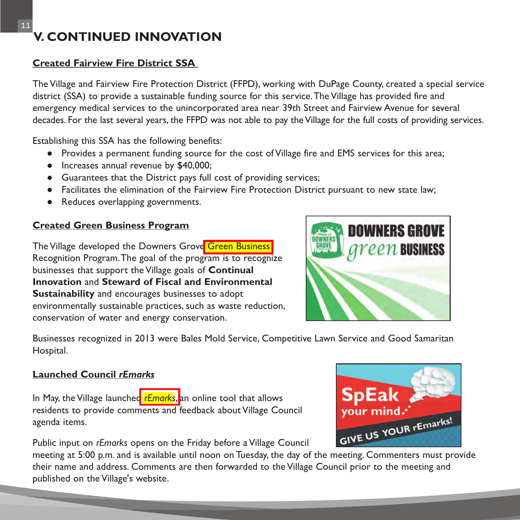# **Created Fairview Fire District SSA**

The Village and Fairview Fire Protection District (FFPD), working with DuPage County, created a special service district (SSA) to provide a sustainable funding source for this service. The Village has provided fire and emergency medical services to the unincorporated area near 39th Street and Fairview Avenue for several decades. For the last several years, the FFPD was not able to pay the Village for the full costs of providing services.

Establishing this SSA has the following benefits:

- Provides a permanent funding source for the cost of Village fire and EMS services for this area;
- Increases annual revenue by \$40,000;
- Guarantees that the District pays full cost of providing services;
- Facilitates the elimination of the Fairview Fire Protection District pursuant to new state law;
- Reduces overlapping governments.

# **Created Green Business Program**

The Village developed the Downers Grov[e Green Business](http://www.downers.us/bus/green-business-recognition-program) Recognition Program. The goal of the program is to recognize businesses that support the Village goals of **Continual Innovation** and **Steward of Fiscal and Environmental Sustainability** and encourages businesses to adopt environmentally sustainable practices, such as waste reduction, conservation of water and energy conservation.



Businesses recognized in 2013 were Bales Mold Service, Competitive Lawn Service and Good Samaritan Hospital.

# **Launched Council** *rEmarks*

In May, the Village launched *[rEmarks](http://www.downers.us/govt/forms-publications/remarks-online-agenda-commenting)*, an online tool that allows residents to provide comments and feedback about Village Council agenda items.

Public input on *rEmarks* opens on the Friday before a Village Council



meeting at 5:00 p.m. and is available until noon on Tuesday, the day of the meeting. Commenters must provide their name and address. Comments are then forwarded to the Village Council prior to the meeting and published on the Village's website.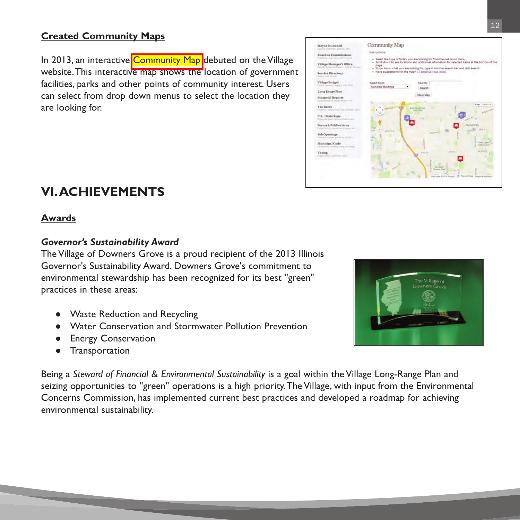### **Created Community Maps**

In 2013, an interactive [Community Map](http://www.downers.us/govt/forms-publications/community-map) debuted on the Village website. This interactive map shows the location of government facilities, parks and other points of community interest. Users can select from drop down menus to select the location they are looking for.



# **VI. ACHIEVEMENTS**

#### **Awards**

#### *Governor's Sustainability Award*

The Village of Downers Grove is a proud recipient of the 2013 Illinois Governor's Sustainability Award. Downers Grove's commitment to environmental stewardship has been recognized for its best "green" practices in these areas:

- **Waste Reduction and Recycling**
- **Water Conservation and Stormwater Pollution Prevention**
- **Energy Conservation**
- Transportation

Being a *Steward of Financial & Environmental Sustainability* is a goal within the Village Long-Range Plan and seizing opportunities to "green" operations is a high priority. The Village, with input from the Environmental Concerns Commission, has implemented current best practices and developed a roadmap for achieving environmental sustainability.

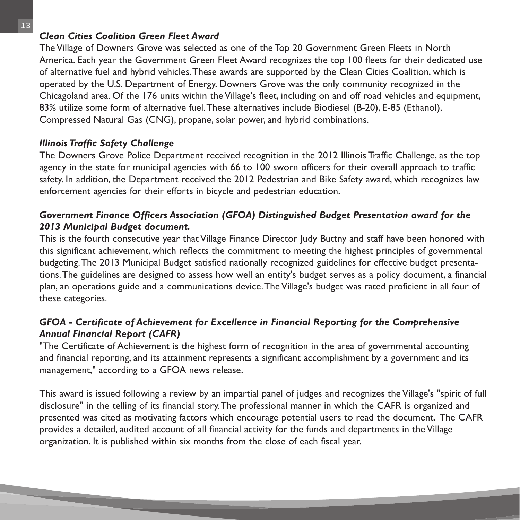#### *Clean Cities Coalition Green Fleet Award*

The Village of Downers Grove was selected as one of the Top 20 Government Green Fleets in North America. Each year the Government Green Fleet Award recognizes the top 100 fleets for their dedicated use of alternative fuel and hybrid vehicles. These awards are supported by the Clean Cities Coalition, which is operated by the U.S. Department of Energy. Downers Grove was the only community recognized in the Chicagoland area. Of the 176 units within the Village's fleet, including on and off road vehicles and equipment, 83% utilize some form of alternative fuel. These alternatives include Biodiesel (B-20), E-85 (Ethanol), Compressed Natural Gas (CNG), propane, solar power, and hybrid combinations.

#### *Illinois Traffic Safety Challenge*

The Downers Grove Police Department received recognition in the 2012 Illinois Traffic Challenge, as the top agency in the state for municipal agencies with 66 to 100 sworn officers for their overall approach to traffic safety. In addition, the Department received the 2012 Pedestrian and Bike Safety award, which recognizes law enforcement agencies for their efforts in bicycle and pedestrian education.

### *Government Finance Officers Association (GFOA) Distinguished Budget Presentation award for the 2013 Municipal Budget document.*

This is the fourth consecutive year that Village Finance Director Judy Buttny and staff have been honored with this significant achievement, which reflects the commitment to meeting the highest principles of governmental budgeting. The 2013 Municipal Budget satisfied nationally recognized guidelines for effective budget presentations. The guidelines are designed to assess how well an entity's budget serves as a policy document, a financial plan, an operations guide and a communications device. The Village's budget was rated proficient in all four of these categories.

#### *GFOA - Certificate of Achievement for Excellence in Financial Reporting for the Comprehensive Annual Financial Report (CAFR)*

"The Certificate of Achievement is the highest form of recognition in the area of governmental accounting and financial reporting, and its attainment represents a significant accomplishment by a government and its management," according to a GFOA news release.

This award is issued following a review by an impartial panel of judges and recognizes the Village's "spirit of full disclosure" in the telling of its financial story. The professional manner in which the CAFR is organized and presented was cited as motivating factors which encourage potential users to read the document. The CAFR provides a detailed, audited account of all financial activity for the funds and departments in the Village organization. It is published within six months from the close of each fiscal year.